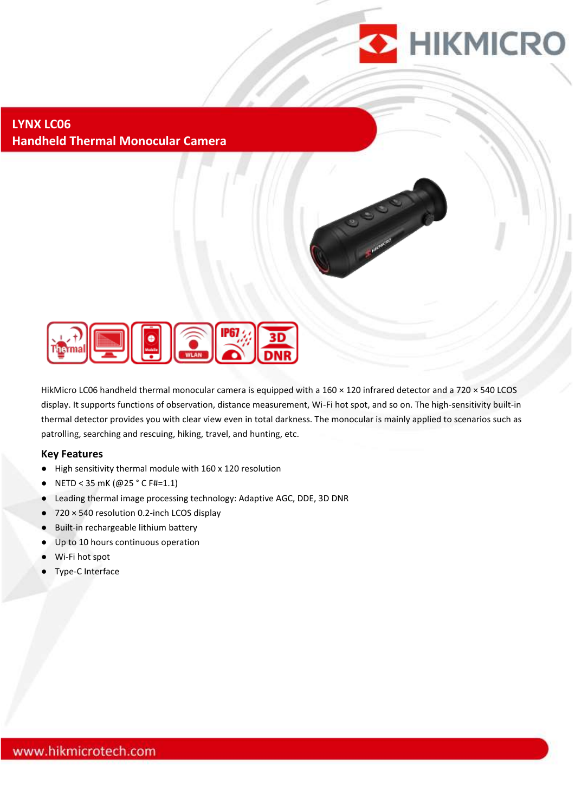

### **LYNX LC06 Handheld Thermal Monocular Camera**



HikMicro LC06 handheld thermal monocular camera is equipped with a 160 × 120 infrared detector and a 720 × 540 LCOS display. It supports functions of observation, distance measurement, Wi-Fi hot spot, and so on. The high-sensitivity built-in thermal detector provides you with clear view even in total darkness. The monocular is mainly applied to scenarios such as patrolling, searching and rescuing, hiking, travel, and hunting, etc.

#### **Key Features**

- High sensitivity thermal module with 160 x 120 resolution
- NETD < 35 mK (@25 ° C F#=1.1)
- Leading thermal image processing technology: Adaptive AGC, DDE, 3D DNR
- 720 × 540 resolution 0.2-inch LCOS display
- Built-in rechargeable lithium battery
- Up to 10 hours continuous operation
- Wi-Fi hot spot
- **Type-C Interface**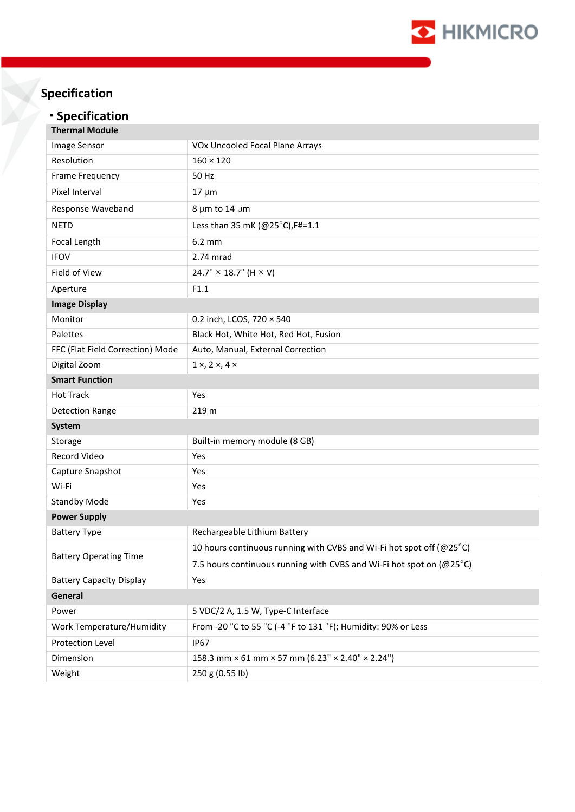

# **Specification**

# **· Specification**

| <b>Thermal Module</b>            |                                                                      |
|----------------------------------|----------------------------------------------------------------------|
| Image Sensor                     | VOx Uncooled Focal Plane Arrays                                      |
| Resolution                       | $160 \times 120$                                                     |
| Frame Frequency                  | 50 Hz                                                                |
| Pixel Interval                   | $17 \mu m$                                                           |
| Response Waveband                | 8 µm to 14 µm                                                        |
| <b>NETD</b>                      | Less than 35 mK (@25°C), F#=1.1                                      |
| Focal Length                     | 6.2 mm                                                               |
| <b>IFOV</b>                      | 2.74 mrad                                                            |
| Field of View                    | $24.7^{\circ} \times 18.7^{\circ}$ (H $\times$ V)                    |
| Aperture                         | F1.1                                                                 |
| <b>Image Display</b>             |                                                                      |
| Monitor                          | 0.2 inch, LCOS, 720 × 540                                            |
| Palettes                         | Black Hot, White Hot, Red Hot, Fusion                                |
| FFC (Flat Field Correction) Mode | Auto, Manual, External Correction                                    |
| Digital Zoom                     | $1 \times 2 \times 4 \times$                                         |
| <b>Smart Function</b>            |                                                                      |
| <b>Hot Track</b>                 | Yes                                                                  |
| <b>Detection Range</b>           | 219 m                                                                |
| System                           |                                                                      |
| Storage                          | Built-in memory module (8 GB)                                        |
| Record Video                     | Yes                                                                  |
| Capture Snapshot                 | Yes                                                                  |
| Wi-Fi                            | Yes                                                                  |
| <b>Standby Mode</b>              | Yes                                                                  |
| <b>Power Supply</b>              |                                                                      |
| <b>Battery Type</b>              | Rechargeable Lithium Battery                                         |
| <b>Battery Operating Time</b>    | 10 hours continuous running with CVBS and Wi-Fi hot spot off (@25°C) |
|                                  | 7.5 hours continuous running with CVBS and Wi-Fi hot spot on (@25°C) |
| <b>Battery Capacity Display</b>  | Yes                                                                  |
| General                          |                                                                      |
| Power                            | 5 VDC/2 A, 1.5 W, Type-C Interface                                   |
| Work Temperature/Humidity        | From -20 °C to 55 °C (-4 °F to 131 °F); Humidity: 90% or Less        |
| Protection Level                 | <b>IP67</b>                                                          |
| Dimension                        | 158.3 mm × 61 mm × 57 mm (6.23" × 2.40" × 2.24")                     |
| Weight                           | 250 g (0.55 lb)                                                      |